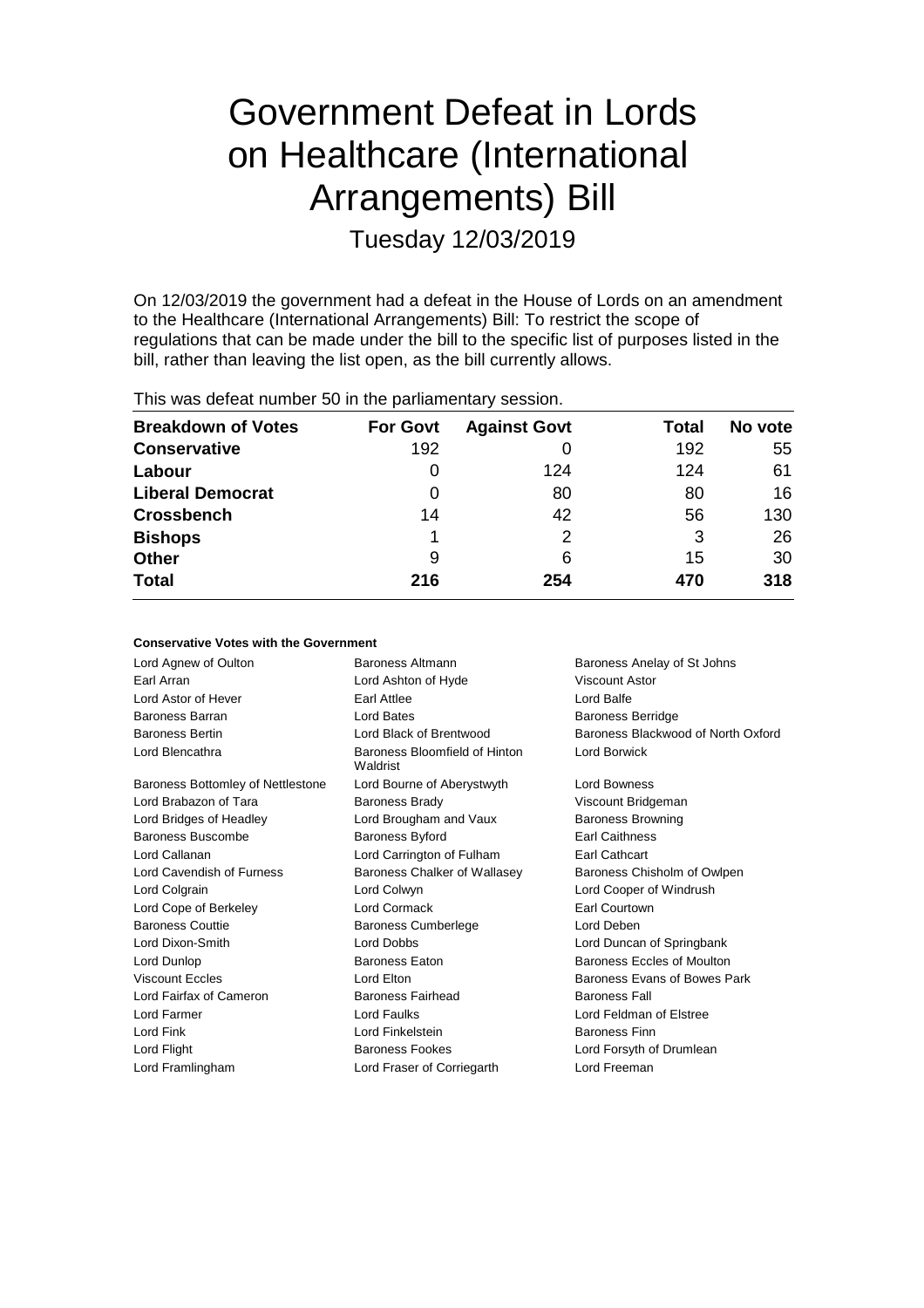# Government Defeat in Lords on Healthcare (International Arrangements) Bill

Tuesday 12/03/2019

On 12/03/2019 the government had a defeat in the House of Lords on an amendment to the Healthcare (International Arrangements) Bill: To restrict the scope of regulations that can be made under the bill to the specific list of purposes listed in the bill, rather than leaving the list open, as the bill currently allows.

This was defeat number 50 in the parliamentary session.

| <b>Breakdown of Votes</b> | <b>For Govt</b> | <b>Against Govt</b> | Total | No vote |
|---------------------------|-----------------|---------------------|-------|---------|
| <b>Conservative</b>       | 192             |                     | 192   | 55      |
| Labour                    | 0               | 124                 | 124   | 61      |
| <b>Liberal Democrat</b>   | 0               | 80                  | 80    | 16      |
| <b>Crossbench</b>         | 14              | 42                  | 56    | 130     |
| <b>Bishops</b>            |                 | 2                   | 3     | 26      |
| <b>Other</b>              | 9               | 6                   | 15    | 30      |
| <b>Total</b>              | 216             | 254                 | 470   | 318     |

# **Conservative Votes with the Government**

| Lord Agnew of Oulton              | Baroness Altmann                          | Baroness Anelay of St Johns        |  |
|-----------------------------------|-------------------------------------------|------------------------------------|--|
| Earl Arran                        | Lord Ashton of Hyde                       | Viscount Astor                     |  |
| Lord Astor of Hever               | Earl Attlee                               | Lord Balfe                         |  |
| <b>Baroness Barran</b>            | <b>Lord Bates</b>                         | <b>Baroness Berridge</b>           |  |
| <b>Baroness Bertin</b>            | Lord Black of Brentwood                   | Baroness Blackwood of North Oxford |  |
| Lord Blencathra                   | Baroness Bloomfield of Hinton<br>Waldrist | Lord Borwick                       |  |
| Baroness Bottomley of Nettlestone | Lord Bourne of Aberystwyth                | <b>Lord Bowness</b>                |  |
| Lord Brabazon of Tara             | <b>Baroness Brady</b>                     | Viscount Bridgeman                 |  |
| Lord Bridges of Headley           | Lord Brougham and Vaux                    | <b>Baroness Browning</b>           |  |
| Baroness Buscombe                 | Baroness Byford                           | <b>Earl Caithness</b>              |  |
| Lord Callanan                     | Lord Carrington of Fulham                 | Earl Cathcart                      |  |
| Lord Cavendish of Furness         | Baroness Chalker of Wallasey              | Baroness Chisholm of Owlpen        |  |
| Lord Colgrain                     | Lord Colwyn                               | Lord Cooper of Windrush            |  |
| Lord Cope of Berkeley             | Lord Cormack                              | <b>Earl Courtown</b>               |  |
| <b>Baroness Couttie</b>           | <b>Baroness Cumberlege</b>                | Lord Deben                         |  |
| Lord Dixon-Smith                  | Lord Dobbs                                | Lord Duncan of Springbank          |  |
| Lord Dunlop                       | <b>Baroness Eaton</b>                     | Baroness Eccles of Moulton         |  |
| <b>Viscount Eccles</b>            | Lord Elton                                | Baroness Evans of Bowes Park       |  |
| Lord Fairfax of Cameron           | Baroness Fairhead                         | <b>Baroness Fall</b>               |  |
| Lord Farmer                       | <b>Lord Faulks</b>                        | Lord Feldman of Elstree            |  |
| Lord Fink                         | Lord Finkelstein                          | <b>Baroness Finn</b>               |  |
| Lord Flight                       | Baroness Fookes                           | Lord Forsyth of Drumlean           |  |
| Lord Framlingham                  | Lord Fraser of Corriegarth                | Lord Freeman                       |  |
|                                   |                                           |                                    |  |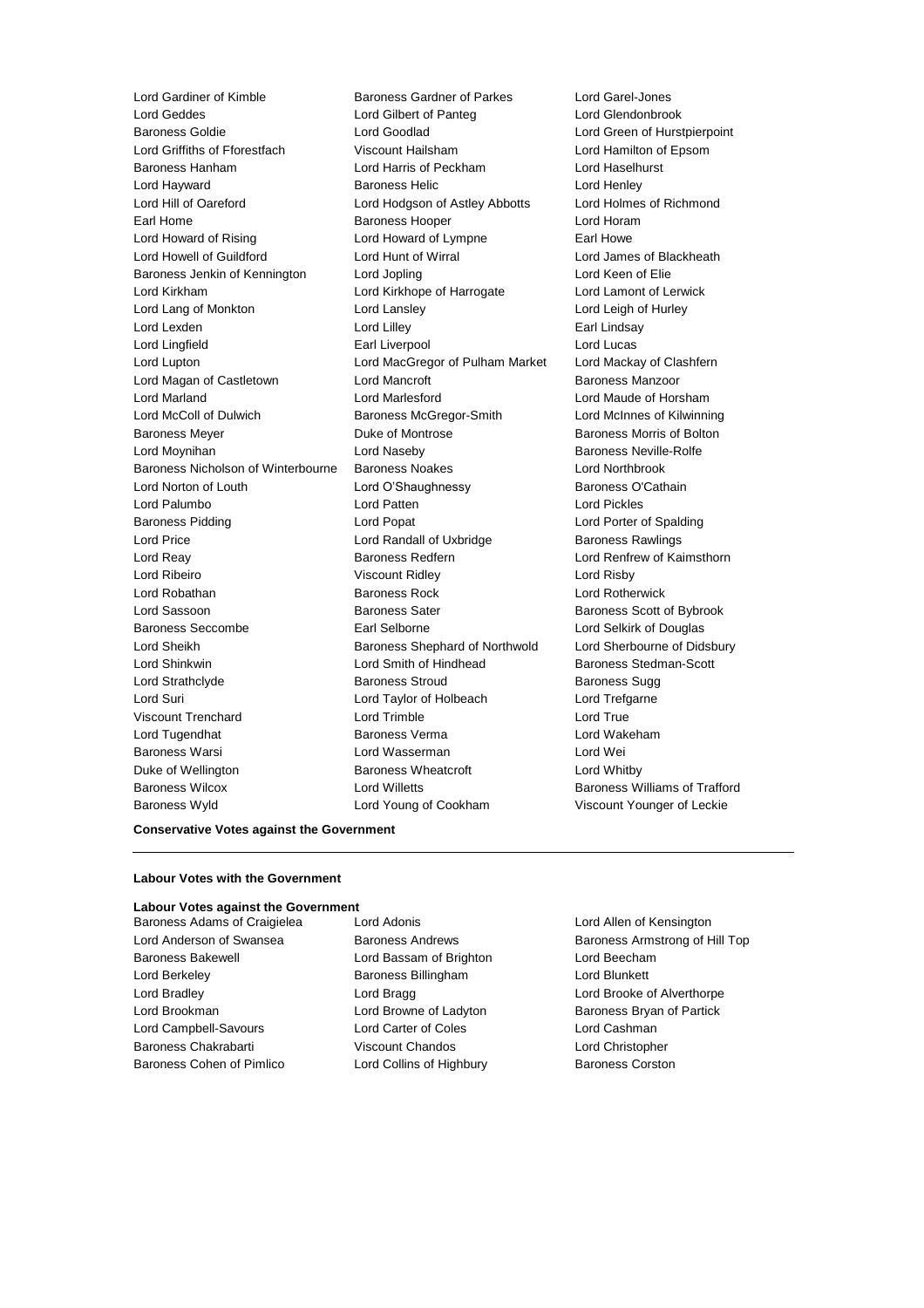Lord Gardiner of Kimble **Baroness Gardner of Parkes** Lord Garel-Jones<br>
Lord Geddes **Lord Garel-Jones** Lord Gilbert of Panteg **Barones** Lord Glendonbro Baroness Goldie Lord Goodlad Lord Green of Hurstpierpoint Lord Griffiths of Fforestfach Viscount Hailsham Lord Hamilton of Epsom Baroness Hanham Lord Harris of Peckham Lord Haselhurst Lord Hayward Baroness Helic Lord Henley Lord Hill of Oareford Lord Hodgson of Astley Abbotts Lord Holmes of Richmond Earl Home **Baroness Hooper Baroness Hooper Lord Horam** Lord Howard of Rising **Lord Howard of Lympne** Earl Howe Lord Howell of Guildford Lord Hunt of Wirral Lord James of Blackheath Baroness Jenkin of Kennington Lord Jopling Communication Lord Keen of Elie Lord Kirkham Lord Kirkhope of Harrogate Lord Lamont of Lerwick Lord Lang of Monkton Lord Lansley Lord Leigh of Hurley Lord Lexden **Lord Lindsay** Lord Lilley **Communication** Lord Lindsay Lord Lingfield **Earl Liverpool** Earl Liverpool **Lord Lucas** Lord Lupton Lord MacGregor of Pulham Market Lord Mackay of Clashfern Lord Magan of Castletown **Lord Mancroft Baroness Manzoor** Baroness Manzoor Lord Marland Lord Marlesford Lord Maude of Horsham Lord McColl of Dulwich Baroness McGregor-Smith Lord McInnes of Kilwinning Baroness Meyer **Duke of Montrose Baroness Morris of Bolton** Lord Moynihan Lord Naseby Baroness Neville-Rolfe Baroness Nicholson of Winterbourne Baroness Noakes Lord Northbrook Lord Norton of Louth Lord O'Shaughnessy Baroness O'Cathain Lord Palumbo Lord Patten Lord Pickles Baroness Pidding Lord Popat Lord Porter of Spalding Lord Price **Lord Randall of Uxbridge** Baroness Rawlings Lord Reay Baroness Redfern Lord Renfrew of Kaimsthorn Lord Ribeiro Viscount Ridley Lord Risby Lord Robathan Baroness Rock Lord Rotherwick Lord Sassoon **Baroness Sater** Baroness Sater Baroness Scott of Bybrook Baroness Seccombe Earl Selborne Lord Selkirk of Douglas Lord Sheikh **Baroness Shephard of Northwold** Lord Sherbourne of Didsbury Lord Shinkwin Lord Smith of Hindhead Baroness Stedman-Scott Lord Strathclyde **Baroness Stroud** Baroness Stroud Baroness Sugg Lord Suri Lord Taylor of Holbeach Lord Trefgarne Viscount Trenchard Lord Trimble Lord True Lord Tugendhat Baroness Verma Lord Wakeham Baroness Warsi **Lord Wasserman** Lord Wei Duke of Wellington **Baroness Wheatcroft Lord Whitby** Baroness Wilcox Lord Willetts Baroness Williams of Trafford

Lord Gilbert of Panteg Lord Glendonbrook Baroness Wyld Lord Young of Cookham Viscount Younger of Leckie

#### **Conservative Votes against the Government**

#### **Labour Votes with the Government**

#### **Labour Votes against the Government**

Baroness Bakewell **Lord Bassam of Brighton** Lord Beecham Lord Berkeley **Baroness Billingham** Lord Blunkett Lord Bradley Lord Bragg Lord Brooke of Alverthorpe Lord Brookman Lord Browne of Ladyton Baroness Bryan of Partick Lord Campbell-Savours Lord Carter of Coles Lord Cashman Baroness Chakrabarti Viscount Chandos Lord Christopher Baroness Cohen of Pimlico **Lord Collins of Highbury** Baroness Corston

Baroness Adams of Craigielea Lord Adonis **Lord Adonis** Lord Allen of Kensington

Lord Anderson of Swansea **Baroness Andrews** Baroness Armstrong of Hill Top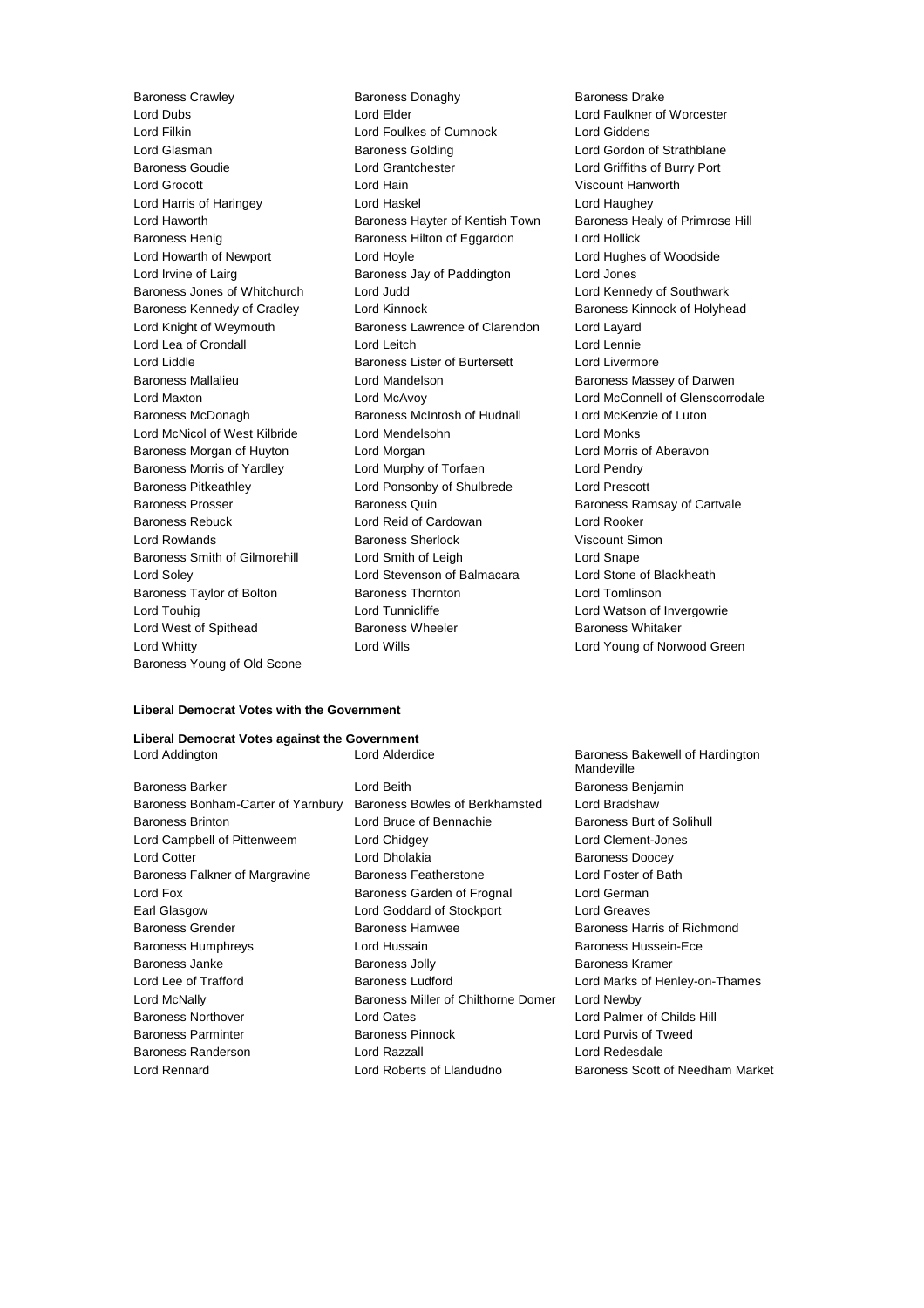Lord Dubs Lord Elder Lord Faulkner of Worcester Lord Glasman **Baroness Golding Baroness Golding Lord Gordon of Strathblane** Baroness Goudie Lord Grantchester Lord Griffiths of Burry Port Lord Grocott Lord Hain Viscount Hanworth Lord Harris of Haringey **Lord Haskel** Lord Haughey Lord Haughey<br>
Lord Haworth **Communist Baroness Hayter of Kentish Town** Baroness Healy of Primrose Hill Lord Haworth **Baroness Hayter of Kentish Town** Baroness Henig Baroness Hilton of Eggardon Lord Hollick Lord Howarth of Newport Lord Hoyle Lord Hughes of Woodside Lord Irvine of Lairg Baroness Jay of Paddington Lord Jones Baroness Jones of Whitchurch Lord Judd Lord Communist Lord Kennedy of Southwark Baroness Kennedy of Cradley **Lord Kinnock Baroness Kinnock baroness Kinnock of Holyhead** Lord Knight of Weymouth Baroness Lawrence of Clarendon Lord Layard Lord Lea of Crondall Lord Leitch Lord Lennie Lord Liddle Baroness Lister of Burtersett Lord Livermore Baroness Mallalieu **Mandelson** Lord Mandelson **Baroness Massey of Darwen** Lord Maxton Lord McAvoy Lord McConnell of Glenscorrodale Baroness McDonagh Baroness McIntosh of Hudnall Lord McKenzie of Luton Lord McNicol of West Kilbride Lord Mendelsohn Lord Monks Baroness Morgan of Huyton Lord Morgan Lord Morgan Lord Morris of Aberavon Baroness Morris of Yardley **Lord Murphy of Torfaen** Lord Pendry Baroness Pitkeathley Lord Ponsonby of Shulbrede Lord Prescott Baroness Prosser Baroness Quin Baroness Ramsay of Cartvale Baroness Rebuck Lord Reid of Cardowan Lord Rooker Lord Rowlands Baroness Sherlock Viscount Simon Baroness Smith of Gilmorehill Lord Smith of Leigh Lord Snape Lord Soley Lord Stevenson of Balmacara Lord Stone of Blackheath Baroness Taylor of Bolton **Baroness Thornton** Lord Tomlinson Lord Touhig **Lord Tunnicliffe** Lord Tunnicliffe Lord Watson of Invergowrie Lord West of Spithead **Baroness Wheeler** Baroness Wheeler Baroness Whitaker Lord Whitty Lord Wills Lord Young of Norwood Green Baroness Young of Old Scone

Baroness Crawley **Baroness Donaghy** Baroness Danaghy Baroness Drake<br>
Lord Dubs **Baroness Lord Example Property** Lord Engineer of Lord Faulkner of Lord Foulkes of Cumnock Lord Giddens

#### **Liberal Democrat Votes with the Government**

# **Liberal Democrat Votes against the Government**

| Baroness Barker                    |
|------------------------------------|
| Baroness Bonham-Carter of Yarnbury |
| <b>Baroness Brinton</b>            |
| Lord Campbell of Pittenweem        |
| Lord Cotter                        |
| Baroness Falkner of Margravine     |
| Lord Fox                           |
| Earl Glasgow                       |
| <b>Baroness Grender</b>            |
| <b>Baroness Humphreys</b>          |
| Baroness Janke                     |
| Lord Lee of Trafford               |
| Lord McNally                       |
| <b>Baroness Northover</b>          |
| <b>Baroness Parminter</b>          |
| Baroness Randerson                 |
| Lord Rennard                       |

Lord Beith **Baroness Benjamin** Baroness Bowles of Berkhamsted Lord Bradshaw Lord Bruce of Bennachie Baroness Burt of Solihull Lord Chidgey **Lord Clement-Jones** Lord Dholakia **Baroness** Doocey Baroness Featherstone **Lord Foster of Bath** Baroness Garden of Frognal Lord German Lord Goddard of Stockport Lord Greaves Baroness Hamwee Baroness Harris of Richmond Lord Hussain **Baroness Hussein-Ece** Baroness Jolly **Baroness Kramer** Baroness Ludford **Baroness Ludford** Lord Marks of Henley-on-Thames Baroness Miller of Chilthorne Domer Lord Newby Lord Oates **North Communist Lord Palmer of Childs Hill** Baroness Pinnock Lord Purvis of Tweed Lord Razzall **Lord Redesdale** 

Lord Addington **Lord Alderdice** Baroness Bakewell of Hardington Mandeville Lord Roberts of Llandudno Baroness Scott of Needham Market